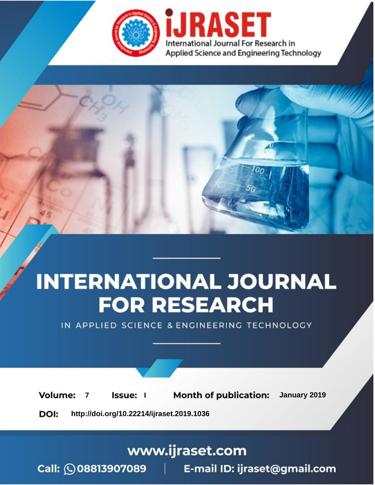

# **INTERNATIONAL JOURNAL FOR RESEARCH**

IN APPLIED SCIENCE & ENGINEERING TECHNOLOGY

**Month of publication:** January 2019 **Volume: Issue:** I  $\overline{7}$ DOI: http://doi.org/10.22214/ijraset.2019.1036

www.ijraset.com

Call: 008813907089 | E-mail ID: ijraset@gmail.com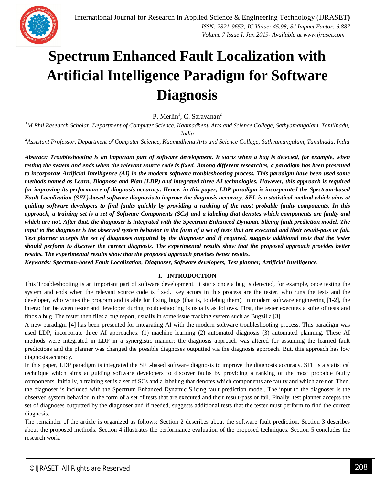### **Spectrum Enhanced Fault Localization with Artificial Intelligence Paradigm for Software Diagnosis**

P. Merlin<sup>1</sup>, C. Saravanan<sup>2</sup>

<sup>1</sup>M.Phil Research Scholar, Department of Computer Science, Kaamadhenu Arts and Science College, Sathyamangalam, Tamilnadu,

*India*

*<sup>2</sup>Assistant Professor, Department of Computer Science, Kaamadhenu Arts and Science College, Sathyamangalam, Tamilnadu, India*

*Abstract: Troubleshooting is an important part of software development. It starts when a bug is detected, for example, when testing the system and ends when the relevant source code is fixed. Among different researches, a paradigm has been presented to incorporate Artificial Intelligence (AI) in the modern software troubleshooting process. This paradigm have been used some methods named as Learn, Diagnose and Plan (LDP) and integrated three AI technologies. However, this approach is required for improving its performance of diagnosis accuracy. Hence, in this paper, LDP paradigm is incorporated the Spectrum-based Fault Localization (SFL)-based software diagnosis to improve the diagnosis accuracy. SFL is a statistical method which aims at guiding software developers to find faults quickly by providing a ranking of the most probable faulty components. In this approach, a training set is a set of Software Components (SCs) and a labeling that denotes which components are faulty and which are not. After that, the diagnoser is integrated with the Spectrum Enhanced Dynamic Slicing fault prediction model. The input to the diagnoser is the observed system behavior in the form of a set of tests that are executed and their result-pass or fail. Test planner accepts the set of diagnoses outputted by the diagnoser and if required, suggests additional tests that the tester should perform to discover the correct diagnosis. The experimental results show that the proposed approach provides better results. The experimental results show that the proposed approach provides better results.*

*Keywords: Spectrum-based Fault Localization, Diagnoser, Software developers, Test planner, Artificial Intelligence.*

#### **I. INTRODUCTION**

This Troubleshooting is an important part of software development. It starts once a bug is detected, for example, once testing the system and ends when the relevant source code is fixed. Key actors in this process are the tester, who runs the tests and the developer, who writes the program and is able for fixing bugs (that is, to debug them). In modern software engineering [1-2], the interaction between tester and developer during troubleshooting is usually as follows. First, the tester executes a suite of tests and finds a bug. The tester then files a bug report, usually in some issue tracking system such as Bugzilla [3].

A new paradigm [4] has been presented for integrating AI with the modern software troubleshooting process. This paradigm was used LDP, incorporate three AI approaches: (1) machine learning (2) automated diagnosis (3) automated planning. These AI methods were integrated in LDP in a synergistic manner: the diagnosis approach was altered for assuming the learned fault predictions and the planner was changed the possible diagnoses outputted via the diagnosis approach. But, this approach has low diagnosis accuracy.

In this paper, LDP paradigm is integrated the SFL-based software diagnosis to improve the diagnosis accuracy. SFL is a statistical technique which aims at guiding software developers to discover faults by providing a ranking of the most probable faulty components. Initially, a training set is a set of SCs and a labeling that denotes which components are faulty and which are not. Then, the diagnoser is included with the Spectrum Enhanced Dynamic Slicing fault prediction model. The input to the diagnoser is the observed system behavior in the form of a set of tests that are executed and their result-pass or fail. Finally, test planner accepts the set of diagnoses outputted by the diagnoser and if needed, suggests additional tests that the tester must perform to find the correct diagnosis.

The remainder of the article is organized as follows: Section 2 describes about the software fault prediction. Section 3 describes about the proposed methods. Section 4 illustrates the performance evaluation of the proposed techniques. Section 5 concludes the research work.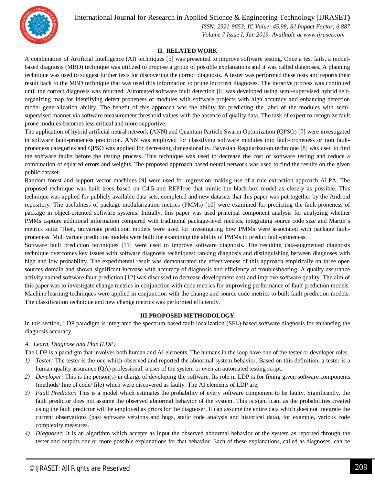

 *ISSN: 2321-9653; IC Value: 45.98; SJ Impact Factor: 6.887 Volume 7 Issue I, Jan 2019- Available at www.ijraset.com*

#### **II. RELATED WORK**

A combination of Artificial Intelligence (AI) techniques [5] was presented to improve software testing. Once a test fails, a modelbased diagnosis (MBD) technique was utilized to propose a group of possible explanations and it was called diagnoses. A planning technique was used to suggest further tests for discovering the correct diagnosis. A tester was performed these tests and reports their result back to the MBD technique that was used this information to prune incorrect diagnoses. The iterative process was continued until the correct diagnosis was returned. Automated software fault detection [6] was developed using semi-supervised hybrid selforganizing map for identifying defect proneness of modules with software projects with high accuracy and enhancing detection model generalization ability. The benefit of this approach was the ability for predicting the label of the modules with semisupervised manner via software measurement threshold values with the absence of quality data. The task of expert to recognize fault prone modules becomes less critical and more supportive.

The application of hybrid artificial neural network (ANN) and Quantum Particle Swarm Optimization (QPSO) [7] were investigated in software fault-proneness prediction. ANN was employed for classifying software modules into fault-proneness or non faultproneness categories and QPSO was applied for decreasing dimensionality. Bayesian Regularization technique [8] was used to find the software faults before the testing process. This technique was used to decrease the cost of software testing and reduce a combination of squared errors and weights. The proposed approach based neural network was used to find the results on the given public dataset.

Random forest and support vector machines [9] were used for regression making use of a rule extraction approach ALPA. The proposed technique was built trees based on C4.5 and REPTree that mimic the black-box model as closely as possible. This technique was applied for publicly available data sets, completed and new datasets that this paper was put together by the Android repository. The usefulness of package-modularization metrics (PMMs) [10] were examined for predicting the fault-proneness of package in object-oriented software systems. Initially, this paper was used principal component analysis for analyzing whether PMMs capture additional information compared with traditional package-level metrics, integrating source code size and Martin's metrics suite. Then, univariate prediction models were used for investigating how PMMs were associated with package faultproneness. Multivariate prediction models were built for examining the ability of PMMs to predict fault-proneness.

Software fault prediction techniques [11] were used to improve software diagnosis. The resulting data-augmented diagnosis technique overcomes key issues with software diagnosis techniques: ranking diagnosis and distinguishing between diagnoses with high and low probability. The experimental result was demonstrated the effectiveness of this approach empirically on three open sources domain and shown significant increase with accuracy of diagnosis and efficiency of troubleshooting. A quality assurance activity named software fault prediction [12] was discussed to decrease development cost and improve software quality. The aim of this paper was to investigate change metrics in conjunction with code metrics for improving performance of fault prediction models. Machine learning techniques were applied in conjunction with the change and source code metrics to built fault prediction models. The classification technique and new change metrics was performed efficiently.

#### **III.PROPOSED METHODOLOGY**

In this section, LDP paradigm is integrated the spectrum-based fault localization (SFL)-based software diagnosis for enhancing the diagnosis accuracy.

#### *A. Learn, Diagnose and Plan (LDP)*

The LDP is a paradigm that involves both human and AI elements. The humans in the loop have one of the tester or developer roles.

- *1) Tester:* The tester is the one which observed and reported the abnormal system behavior. Based on this definition, a tester is a human quality assurance (QA) professional, a user of the system or even an automated testing script.
- *2) Developer:* This is the person(s) in charge of developing the software. Its role in LDP is for fixing given software components (methods/ line of code/ file) which were discovered as faulty. The AI elements of LDP are,
- *3) Fault Predictor:* This is a model which estimates the probability of every software component to be faulty. Significantly, the fault predictor does not assume the observed abnormal behavior of the system. This is significant as the probabilities created using the fault predictor will be employed as priors for the diagnoser. It can assume the entire data which does not integrate the current observations (past software versions and bugs, static code analysis and historical data), for example, various code complexity measures.
- *4) Diagnoser:* It is an algorithm which accepts as input the observed abnormal behavior of the system as reported through the tester and outputs one or more possible explanations for that behavior. Each of these explanations, called as diagnoses, can be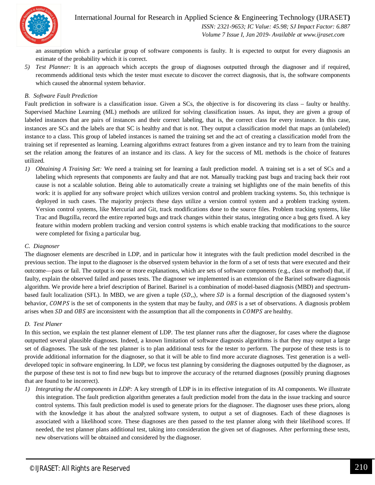

 *ISSN: 2321-9653; IC Value: 45.98; SJ Impact Factor: 6.887 Volume 7 Issue I, Jan 2019- Available at www.ijraset.com*

an assumption which a particular group of software components is faulty. It is expected to output for every diagnosis an estimate of the probability which it is correct.

*5) Test Planner:* It is an approach which accepts the group of diagnoses outputted through the diagnoser and if required, recommends additional tests which the tester must execute to discover the correct diagnosis, that is, the software components which caused the abnormal system behavior.

#### *B. Software Fault Prediction*

Fault prediction in software is a classification issue. Given a SCs, the objective is for discovering its class – faulty or healthy. Supervised Machine Learning (ML) methods are utilized for solving classification issues. As input, they are given a group of labeled instances that are pairs of instances and their correct labeling, that is, the correct class for every instance. In this case, instances are SCs and the labels are that SC is healthy and that is not. They output a classification model that maps an (unlabeled) instance to a class. This group of labeled instances is named the training set and the act of creating a classification model from the training set if represented as learning. Learning algorithms extract features from a given instance and try to learn from the training set the relation among the features of an instance and its class. A key for the success of ML methods is the choice of features utilized.

*1) Obtaining A Training Set:* We need a training set for learning a fault prediction model. A training set is a set of SCs and a labeling which represents that components are faulty and that are not. Manually tracking past bugs and tracing back their root cause is not a scalable solution. Being able to automatically create a training set highlights one of the main benefits of this work: it is applied for any software project which utilizes version control and problem tracking systems. So, this technique is deployed in such cases. The majority projects these days utilize a version control system and a problem tracking system. Version control systems, like Mercurial and Git, track modifications done to the source files. Problem tracking systems, like Trac and Bugzilla, record the entire reported bugs and track changes within their status, integrating once a bug gets fixed. A key feature within modern problem tracking and version control systems is which enable tracking that modifications to the source were completed for fixing a particular bug.

#### *C. Diagnoser*

The diagnoser elements are described in LDP, and in particular how it integrates with the fault prediction model described in the previous section. The input to the diagnoser is the observed system behavior in the form of a set of tests that were executed and their outcome—pass or fail. The output is one or more explanations, which are sets of software components (e.g., class or method) that, if faulty, explain the observed failed and passes tests. The diagnoser we implemented is an extension of the Barinel software diagnosis algorithm. We provide here a brief description of Barinel. Barinel is a combination of model-based diagnosis (MBD) and spectrumbased fault localization (SFL). In MBD, we are given a tuple  $\langle SD, \rangle$ , where SD is a formal description of the diagnosed system's behavior, COMPS is the set of components in the system that may be faulty, and OBS is a set of observations. A diagnosis problem arises when  $SD$  and  $OBS$  are inconsistent with the assumption that all the components in  $COMPS$  are healthy.

#### *D. Test Planer*

In this section, we explain the test planner element of LDP. The test planner runs after the diagnoser, for cases where the diagnose outputted several plausible diagnoses. Indeed, a known limitation of software diagnosis algorithms is that they may output a large set of diagnoses. The task of the test planner is to plan additional tests for the tester to perform. The purpose of these tests is to provide additional information for the diagnoser, so that it will be able to find more accurate diagnoses. Test generation is a welldeveloped topic in software engineering. In LDP, we focus test planning by considering the diagnoses outputted by the diagnoser, as the purpose of these test is not to find new bugs but to improve the accuracy of the returned diagnoses (possibly pruning diagnoses that are found to be incorrect).

*1) Integrating the AI components in LDP:* A key strength of LDP is in its effective integration of its AI components. We illustrate this integration. The fault prediction algorithm generates a fault prediction model from the data in the issue tracking and source control systems. This fault prediction model is used to generate priors for the diagnoser. The diagnoser uses these priors, along with the knowledge it has about the analyzed software system, to output a set of diagnoses. Each of these diagnoses is associated with a likelihood score. These diagnoses are then passed to the test planner along with their likelihood scores. If needed, the test planner plans additional test, taking into consideration the given set of diagnoses. After performing these tests, new observations will be obtained and considered by the diagnoser.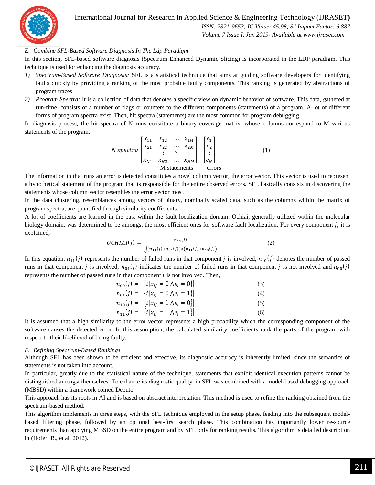

 *ISSN: 2321-9653; IC Value: 45.98; SJ Impact Factor: 6.887*

 *Volume 7 Issue I, Jan 2019- Available at www.ijraset.com*

#### *E. Combine SFL-Based Software Diagnosis In The Ldp Paradigm*

In this section, SFL-based software diagnosis (Spectrum Enhanced Dynamic Slicing) is incorporated in the LDP paradigm. This technique is used for enhancing the diagnosis accuracy.

- *1) Spectrum-Based Software Diagnosis:* SFL is a statistical technique that aims at guiding software developers for identifying faults quickly by providing a ranking of the most probable faulty components. This ranking is generated by abstractions of program traces
- *2) Program Spectra:* It is a collection of data that denotes a specific view on dynamic behavior of software. This data, gathered at run-time, consists of a number of flags or counters to the different components (statements) of a program. A lot of different forms of program spectra exist. Then, hit spectra (statements) are the most common for program debugging.

In diagnosis process, the hit spectra of N runs constitute a binary coverage matrix, whose columns correspond to M various statements of the program.

$$
N \, \text{spectra} \begin{bmatrix} x_{11} & x_{12} & \cdots & x_{1M} \\ x_{21} & x_{22} & \cdots & x_{2M} \\ \vdots & \vdots & \ddots & \vdots \\ x_{N1} & x_{N2} & \cdots & x_{NM} \end{bmatrix} \begin{bmatrix} e_1 \\ e_2 \\ \vdots \\ e_N \end{bmatrix} \tag{1}
$$
\n
$$
M \, \text{statements} \qquad \text{errors}
$$

The information in that runs an error is detected constitutes a novel column vector, the error vector. This vector is used to represent a hypothetical statement of the program that is responsible for the entire observed errors. SFL basically consists in discovering the statements whose column vector resembles the error vector most.

In the data clustering, resemblances among vectors of binary, nominally scaled data, such as the columns within the matrix of program spectra, are quantified through similarity coefficients.

A lot of coefficients are learned in the past within the fault localization domain. Ochiai, generally utilized within the molecular biology domain, was determined to be amongst the most efficient ones for software fault localization. For every component *j*, it is explained,

$$
OCHIAI(j) = \frac{n_{11}(j)}{\sqrt{(n_{11}(j) + n_{01}(j)) \times (n_{11}(j) + n_{10}(j))}}
$$
(2)

In this equation,  $n_{11}(j)$  represents the number of failed runs in that component j is involved,  $n_{10}(j)$  denotes the number of passed runs in that component j is involved,  $n_{01}(j)$  indicates the number of failed runs in that component j is not involved and  $n_{00}(j)$ represents the number of passed runs in that component  $j$  is not involved. Then,

| $n_{00}(j) =  \{i x_{ij} = 0 \land e_i = 0\} $   | (3) |
|--------------------------------------------------|-----|
| $n_{01}(j) =  \{i x_{ij} = 0 \land e_i = 1\} $   | (4) |
| $n_{10}(j) =  \{i x_{ij} = 1 \land e_i = 0\} $   | (5) |
| $n_{11}(j) =  \{i   x_{ij} = 1 \land e_i = 1\} $ | (6) |
|                                                  |     |

It is assumed that a high similarity to the error vector represents a high probability which the corresponding component of the software causes the detected error. In this assumption, the calculated similarity coefficients rank the parts of the program with respect to their likelihood of being faulty.

#### *F. Refining Spectrum-Based Rankings*

Although SFL has been shown to be efficient and effective, its diagnostic accuracy is inherently limited, since the semantics of statements is not taken into account.

In particular, greatly due to the statistical nature of the technique, statements that exhibit identical execution patterns cannot be distinguished amongst themselves. To enhance its diagnostic quality, in SFL was combined with a model-based debugging approach (MBSD) within a framework coined Deputo.

This approach has its roots in AI and is based on abstract interpretation. This method is used to refine the ranking obtained from the spectrum-based method.

This algorithm implements in three steps, with the SFL technique employed in the setup phase, feeding into the subsequent modelbased filtering phase, followed by an optional best-first search phase. This combination has importantly lower re-source requirements than applying MBSD on the entire program and by SFL only for ranking results. This algorithm is detailed description in (Hofer, B., et al. 2012).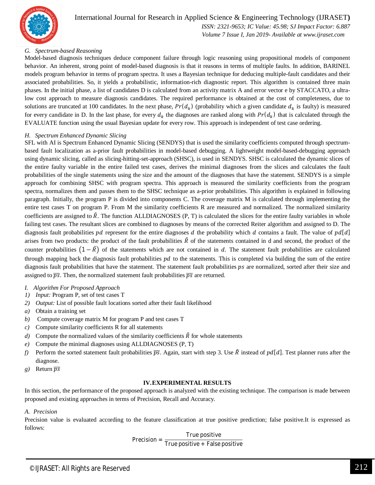

 *ISSN: 2321-9653; IC Value: 45.98; SJ Impact Factor: 6.887 Volume 7 Issue I, Jan 2019- Available at www.ijraset.com*

#### *G. Spectrum-based Reasoning*

Model-based diagnosis techniques deduce component failure through logic reasoning using propositional models of component behavior. An inherent, strong point of model-based diagnosis is that it reasons in terms of multiple faults. In addition, BARINEL models program behavior in terms of program spectra. It uses a Bayesian technique for deducing multiple-fault candidates and their associated probabilities. So, it yields a probabilistic, information-rich diagnostic report. This algorithm is contained three main phases. In the initial phase, a list of candidates D is calculated from an activity matrix A and error vector e by STACCATO, a ultralow cost approach to measure diagnosis candidates. The required performance is obtained at the cost of completeness, due to solutions are truncated at 100 candidates. In the next phase,  $Pr(d_k)$  (probability which a given candidate  $d_k$  is faulty) is measured for every candidate in D. In the last phase, for every  $d_k$  the diagnoses are ranked along with  $Pr(d_k)$  that is calculated through the EVALUATE function using the usual Bayesian update for every row. This approach is independent of test case ordering.

#### *H. Spectrum Enhanced Dynamic Slicing*

SFL with AI is Spectrum Enhanced Dynamic Slicing (SENDYS) that is used the similarity coefficients computed through spectrumbased fault localization as a-prior fault probabilities in model-based debugging. A lightweight model-based-debugging approach using dynamic slicing, called as slicing-hitting-set-approach (SHSC), is used in SENDYS. SHSC is calculated the dynamic slices of the entire faulty variable in the entire failed test cases, derives the minimal diagnoses from the slices and calculates the fault probabilities of the single statements using the size and the amount of the diagnoses that have the statement. SENDYS is a simple approach for combining SHSC with program spectra. This approach is measured the similarity coefficients from the program spectra, normalizes them and passes them to the SHSC technique as a-prior probabilities. This algorithm is explained in following paragraph. Initially, the program P is divided into components C. The coverage matrix M is calculated through implementing the entire test cases T on program P. From M the similarity coefficients R are measured and normalized. The normalized similarity coefficients are assigned to  $\hat{R}$ . The function ALLDIAGNOSES  $(P, T)$  is calculated the slices for the entire faulty variables in whole failing test cases. The resultant slices are combined to diagnoses by means of the corrected Reiter algorithm and assigned to D. The diagnosis fault probabilities pd represent for the entire diagnoses d the probability which d contains a fault. The value of  $pd[d]$ arises from two products: the product of the fault probabilities  $\hat{R}$  of the statements contained in d and second, the product of the counter probabilities  $(1 - \hat{R})$  of the statements which are not contained in d. The statement fault probabilities are calculated through mapping back the diagnosis fault probabilities  $pd$  to the statements. This is completed via building the sum of the entire diagnosis fault probabilities that have the statement. The statement fault probabilities ps are normalized, sorted after their size and assigned to  $\overline{ps}$ . Then, the normalized statement fault probabilities  $\overline{ps}$  are returned.

- *I. Algorithm For Proposed Approach*
- *1) Input:* Program P, set of test cases T
- *2) Output:* List of possible fault locations sorted after their fault likelihood
- *a)* Obtain a training set
- *b)* Compute coverage matrix M for program P and test cases T
- *c)* Compute similarity coefficients R for all statements
- *d)* Compute the normalized values of the similarity coefficients  $\hat{R}$  for whole statements
- *e)* Compute the minimal diagnoses using ALLDIAGNOSES (P, T)
- *f)* Perform the sorted statement fault probabilities  $\bar{p}s$ . Again, start with step 3. Use  $\hat{R}$  instead of  $pd[d]$ . Test planner runs after the diagnose.
- *g*) Return  $\overline{ps}$

#### **IV.EXPERIMENTAL RESULTS**

In this section, the performance of the proposed approach is analyzed with the existing technique. The comparison is made between proposed and existing approaches in terms of Precision, Recall and Accuracy.

#### *A. Precision*

Precision value is evaluated according to the feature classification at true positive prediction; false positive.It is expressed as follows:

> $Precision = \frac{True\ positive}{True\ positive}$ True positive + False positive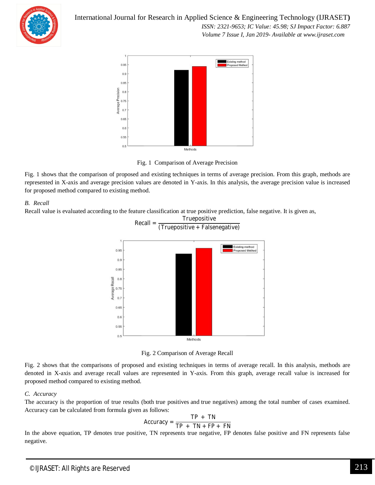

International Journal for Research in Applied Science & Engineering Technology (IJRASET**)**

 *ISSN: 2321-9653; IC Value: 45.98; SJ Impact Factor: 6.887 Volume 7 Issue I, Jan 2019- Available at www.ijraset.com*



Fig. 1 Comparison of Average Precision

Fig. 1 shows that the comparison of proposed and existing techniques in terms of average precision. From this graph, methods are represented in X-axis and average precision values are denoted in Y-axis. In this analysis, the average precision value is increased for proposed method compared to existing method.

#### *B. Recall*

Recall value is evaluated according to the feature classification at true positive prediction, false negative. It is given as,



Fig. 2 Comparison of Average Recall

Fig. 2 shows that the comparisons of proposed and existing techniques in terms of average recall. In this analysis, methods are denoted in X-axis and average recall values are represented in Y-axis. From this graph, average recall value is increased for proposed method compared to existing method.

#### *C. Accuracy*

The accuracy is the proportion of true results (both true positives and true negatives) among the total number of cases examined. Accuracy can be calculated from formula given as follows:

$$
Accuracy = \frac{TP + TN}{TP + TN + FP + FN}
$$

In the above equation, TP denotes true positive, TN represents true negative, FP denotes false positive and FN represents false negative.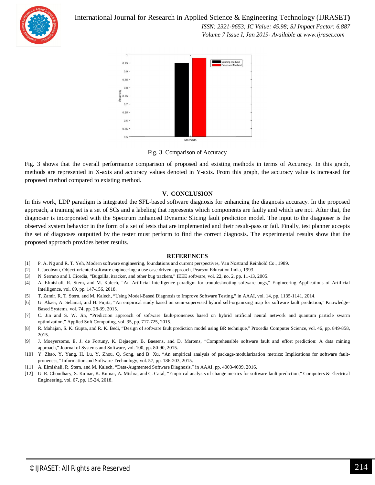

 *ISSN: 2321-9653; IC Value: 45.98; SJ Impact Factor: 6.887 Volume 7 Issue I, Jan 2019- Available at www.ijraset.com*



Fig. 3 Comparison of Accuracy

Fig. 3 shows that the overall performance comparison of proposed and existing methods in terms of Accuracy. In this graph, methods are represented in X-axis and accuracy values denoted in Y-axis. From this graph, the accuracy value is increased for proposed method compared to existing method.

#### **V. CONCLUSION**

In this work, LDP paradigm is integrated the SFL-based software diagnosis for enhancing the diagnosis accuracy. In the proposed approach, a training set is a set of SCs and a labeling that represents which components are faulty and which are not. After that, the diagnoser is incorporated with the Spectrum Enhanced Dynamic Slicing fault prediction model. The input to the diagnoser is the observed system behavior in the form of a set of tests that are implemented and their result-pass or fail. Finally, test planner accepts the set of diagnoses outputted by the tester must perform to find the correct diagnosis. The experimental results show that the proposed approach provides better results.

#### **REFERENCES**

- [1] P. A. Ng and R. T. Yeh, Modern software engineering, foundations and current perspectives, Van Nostrand Reinhold Co., 1989.
- [2] I. Jacobson, Object-oriented software engineering: a use case driven approach, Pearson Education India, 1993.
- [3] N. Serrano and I. Ciordia, "Bugzilla, itracker, and other bug trackers," IEEE software, vol. 22, no. 2, pp. 11-13, 2005.
- [4] A. Elmishali, R. Stern, and M. Kalech, "An Artificial Intelligence paradigm for troubleshooting software bugs," Engineering Applications of Artificial Intelligence, vol. 69, pp. 147-156, 2018.
- [5] T. Zamir, R. T. Stern, and M. Kalech, "Using Model-Based Diagnosis to Improve Software Testing," in AAAI, vol. 14, pp. 1135-1141, 2014.
- [6] G. Abaei, A. Selamat, and H. Fujita, "An empirical study based on semi-supervised hybrid self-organizing map for software fault prediction," Knowledge-Based Systems, vol. 74, pp. 28-39, 2015.
- [7] C. Jin and S. W. Jin, "Prediction approach of software fault-proneness based on hybrid artificial neural network and quantum particle swarm optimization," Applied Soft Computing, vol. 35, pp. 717-725, 2015.
- [8] R. Mahajan, S. K. Gupta, and R. K. Bedi, "Design of software fault prediction model using BR technique," Procedia Computer Science, vol. 46, pp. 849-858, 2015.
- [9] J. Moeyersoms, E. J. de Fortuny, K. Dejaeger, B. Baesens, and D. Martens, "Comprehensible software fault and effort prediction: A data mining approach," Journal of Systems and Software, vol. 100, pp. 80-90, 2015.
- [10] Y. Zhao, Y. Yang, H. Lu, Y. Zhou, Q. Song, and B. Xu, "An empirical analysis of package-modularization metrics: Implications for software faultproneness," Information and Software Technology, vol. 57, pp. 186-203, 2015.
- [11] A. Elmishali, R. Stern, and M. Kalech, "Data-Augmented Software Diagnosis," in AAAI, pp. 4003-4009, 2016.
- [12] G. R. Choudhary, S. Kumar, K. Kumar, A. Mishra, and C. Catal, "Empirical analysis of change metrics for software fault prediction," Computers & Electrical Engineering, vol. 67, pp. 15-24, 2018.